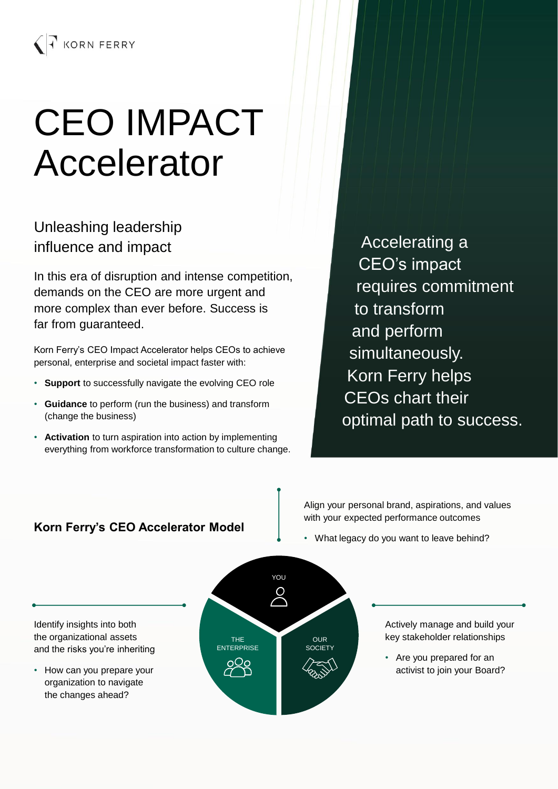# CEO IMPACT Accelerator

# Unleashing leadership influence and impact

In this era of disruption and intense competition, demands on the CEO are more urgent and more complex than ever before. Success is far from guaranteed.

Korn Ferry's CEO Impact Accelerator helps CEOs to achieve personal, enterprise and societal impact faster with:

- **Support** to successfully navigate the evolving CEO role
- **Guidance** to perform (run the business) and transform (change the business)
- **Activation** to turn aspiration into action by implementing everything from workforce transformation to culture change.

Accelerating a CEO's impact requires commitment to transform and perform simultaneously. Korn Ferry helps CEOs chart their optimal path to success.

## **Korn Ferry's CEO Accelerator Model**

Align your personal brand, aspirations, and values with your expected performance outcomes

• What legacy do you want to leave behind?

Identify insights into both the organizational assets and the risks you're inheriting

• How can you prepare your organization to navigate the changes ahead?



Actively manage and build your key stakeholder relationships

• Are you prepared for an activist to join your Board?